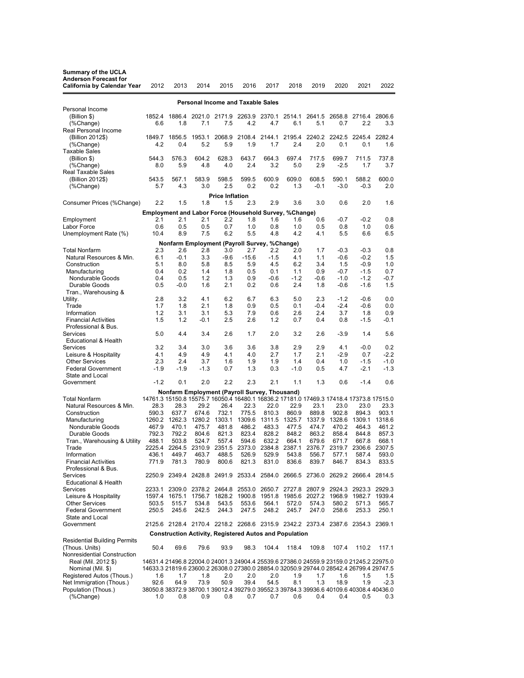| <b>Summary of the UCLA</b>                                                                                                       |                 |                 |                 |                 |                 |                                                                  |                 |                 |                 |                                                                                                                                                                                    |                  |
|----------------------------------------------------------------------------------------------------------------------------------|-----------------|-----------------|-----------------|-----------------|-----------------|------------------------------------------------------------------|-----------------|-----------------|-----------------|------------------------------------------------------------------------------------------------------------------------------------------------------------------------------------|------------------|
| <b>Anderson Forecast for</b>                                                                                                     |                 |                 |                 |                 |                 |                                                                  |                 |                 |                 |                                                                                                                                                                                    |                  |
| <b>California by Calendar Year</b>                                                                                               | 2012            | 2013            | 2014            | 2015            | 2016            | 2017                                                             | 2018            | 2019            | 2020            | 2021                                                                                                                                                                               | 2022             |
| <b>Personal Income and Taxable Sales</b>                                                                                         |                 |                 |                 |                 |                 |                                                                  |                 |                 |                 |                                                                                                                                                                                    |                  |
| Personal Income                                                                                                                  |                 |                 |                 |                 |                 |                                                                  |                 |                 |                 |                                                                                                                                                                                    |                  |
| (Billion \$)                                                                                                                     | 1852.4          | 1886.4          | 2021.0          | 2171.9          | 2263.9          | 2370.1                                                           | 2514.1          | 2641.5          | 2658.8          | 2716.4                                                                                                                                                                             | 2806.6           |
| (%Change)                                                                                                                        | 6.6             | 1.8             | 7.1             | 7.5             | 4.2             | 4.7                                                              | 6.1             | 5.1             | 0.7             | 2.2                                                                                                                                                                                | 3.3              |
| Real Personal Income<br>(Billion 2012\$)                                                                                         | 1849.7          | 1856.5          | 1953.1          | 2068.9          | 2108.4          | 2144.1                                                           | 2195.4          | 2240.2          | 2242.5          | 2245.4                                                                                                                                                                             | 2282.4           |
| (%Change)                                                                                                                        | 4.2             | 0.4             | 5.2             | 5.9             | 1.9             | 1.7                                                              | 2.4             | 2.0             | 0.1             | 0.1                                                                                                                                                                                | 1.6              |
| <b>Taxable Sales</b>                                                                                                             |                 |                 |                 |                 |                 |                                                                  |                 |                 |                 |                                                                                                                                                                                    |                  |
| (Billion \$)                                                                                                                     | 544.3           | 576.3           | 604.2           | 628.3           | 643.7           | 664.3                                                            | 697.4           | 717.5           | 699.7           | 711.5                                                                                                                                                                              | 737.8            |
| (%Change)                                                                                                                        | 8.0             | 5.9             | 4.8             | 4.0             | 2.4             | 3.2                                                              | 5.0             | 2.9             | $-2.5$          | 1.7                                                                                                                                                                                | 3.7              |
| <b>Real Taxable Sales</b><br>(Billion 2012\$)                                                                                    | 543.5           | 567.1           | 583.9           | 598.5           | 599.5           | 600.9                                                            | 609.0           | 608.5           | 590.1           | 588.2                                                                                                                                                                              | 600.0            |
| (%Change)                                                                                                                        | 5.7             | 4.3             | 3.0             | 2.5             | 0.2             | 0.2                                                              | 1.3             | $-0.1$          | $-3.0$          | $-0.3$                                                                                                                                                                             | 2.0              |
|                                                                                                                                  |                 |                 |                 |                 |                 |                                                                  |                 |                 |                 |                                                                                                                                                                                    |                  |
| <b>Price Inflation</b><br>2.2<br>1.5<br>1.8<br>1.5<br>2.3<br>2.9<br>3.6<br>3.0<br>0.6<br>2.0<br>1.6<br>Consumer Prices (%Change) |                 |                 |                 |                 |                 |                                                                  |                 |                 |                 |                                                                                                                                                                                    |                  |
|                                                                                                                                  |                 |                 |                 |                 |                 | Employment and Labor Force (Household Survey, %Change)           |                 |                 |                 |                                                                                                                                                                                    |                  |
| Employment                                                                                                                       | 2.1             | 2.1             | 2.1             | 2.2             | 1.8             | 1.6                                                              | 1.6             | 0.6             | $-0.7$          | $-0.2$                                                                                                                                                                             | 0.8              |
| Labor Force                                                                                                                      | 0.6             | 0.5             | 0.5             | 0.7             | 1.0             | 0.8                                                              | 1.0             | 0.5             | 0.8             | 1.0                                                                                                                                                                                | 0.6              |
| Unemployment Rate (%)                                                                                                            | 10.4            | 8.9             | 7.5             | 6.2             | 5.5             | 4.8                                                              | 4.2             | 4.1             | 5.5             | 6.6                                                                                                                                                                                | 6.5              |
| Nonfarm Employment (Payroll Survey, %Change)                                                                                     |                 |                 |                 |                 |                 |                                                                  |                 |                 |                 |                                                                                                                                                                                    |                  |
| <b>Total Nonfarm</b>                                                                                                             | 2.3             | 2.6             | 2.8             | 3.0             | 2.7             | 2.2                                                              | 2.0             | 1.7             | $-0.3$          | $-0.3$                                                                                                                                                                             | 0.8              |
| Natural Resources & Min.                                                                                                         | 6.1             | $-0.1$          | 3.3             | -9.6            | $-15.6$         | $-1.5$                                                           | 4.1             | 1.1             | $-0.6$          | $-0.2$                                                                                                                                                                             | 1.5              |
| Construction<br>Manufacturing                                                                                                    | 5.1<br>0.4      | 8.0<br>0.2      | 5.8<br>1.4      | 8.5<br>1.8      | 5.9<br>0.5      | 4.5<br>0.1                                                       | 6.2<br>1.1      | 3.4<br>0.9      | 1.5<br>$-0.7$   | $-0.9$<br>$-1.5$                                                                                                                                                                   | 1.0<br>0.7       |
| Nondurable Goods                                                                                                                 | 0.4             | 0.5             | 1.2             | 1.3             | 0.9             | $-0.6$                                                           | $-1.2$          | -0.6            | $-1.0$          | $-1.2$                                                                                                                                                                             | $-0.7$           |
| Durable Goods                                                                                                                    | 0.5             | $-0.0$          | 1.6             | 2.1             | 0.2             | 0.6                                                              | 2.4             | 1.8             | $-0.6$          | $-1.6$                                                                                                                                                                             | 1.5              |
| Tran., Warehousing &                                                                                                             |                 |                 |                 |                 |                 |                                                                  |                 |                 |                 |                                                                                                                                                                                    |                  |
| Utility.                                                                                                                         | 2.8             | 3.2             | 4.1             | 6.2             | 6.7             | 6.3                                                              | 5.0             | 2.3             | $-1.2$          | $-0.6$                                                                                                                                                                             | 0.0              |
| Trade                                                                                                                            | 1.7             | 1.8             | 2.1             | 1.8             | 0.9             | 0.5                                                              | 0.1             | $-0.4$          | $-2.4$          | $-0.6$                                                                                                                                                                             | 0.0              |
| Information<br><b>Financial Activities</b>                                                                                       | 1.2<br>1.5      | 3.1<br>1.2      | 3.1<br>-0.1     | 5.3<br>2.5      | 7.9<br>2.6      | 0.6<br>1.2                                                       | 2.6<br>0.7      | 2.4<br>0.4      | 3.7<br>0.8      | 1.8<br>$-1.5$                                                                                                                                                                      | 0.9<br>$-0.1$    |
| Professional & Bus.                                                                                                              |                 |                 |                 |                 |                 |                                                                  |                 |                 |                 |                                                                                                                                                                                    |                  |
| Services                                                                                                                         | 5.0             | 4.4             | 3.4             | 2.6             | 1.7             | 2.0                                                              | 3.2             | 2.6             | $-3.9$          | 1.4                                                                                                                                                                                | 5.6              |
| <b>Educational &amp; Health</b>                                                                                                  |                 |                 |                 |                 |                 |                                                                  |                 |                 |                 |                                                                                                                                                                                    |                  |
| Services                                                                                                                         | 3.2             | 3.4             | 3.0             | 3.6             | 3.6             | 3.8                                                              | 2.9             | 2.9             | 4.1             | $-0.0$                                                                                                                                                                             | 0.2              |
| Leisure & Hospitality<br><b>Other Services</b>                                                                                   | 4.1<br>2.3      | 4.9<br>2.4      | 4.9<br>3.7      | 4.1<br>1.6      | 4.0<br>1.9      | 2.7<br>1.9                                                       | 1.7<br>1.4      | 2.1<br>0.4      | $-2.9$<br>1.0   | 0.7<br>$-1.5$                                                                                                                                                                      | $-2.2$<br>$-1.0$ |
| <b>Federal Government</b>                                                                                                        | $-1.9$          | $-1.9$          | $-1.3$          | 0.7             | 1.3             | 0.3                                                              | $-1.0$          | 0.5             | 4.7             | $-2.1$                                                                                                                                                                             | $-1.3$           |
| State and Local                                                                                                                  |                 |                 |                 |                 |                 |                                                                  |                 |                 |                 |                                                                                                                                                                                    |                  |
| Government                                                                                                                       | $-1.2$          | 0.1             | 2.0             | 2.2             | 2.3             | 2.1                                                              | 1.1             | 1.3             | 0.6             | $-1.4$                                                                                                                                                                             | 0.6              |
|                                                                                                                                  |                 |                 |                 |                 |                 | Nonfarm Employment (Payroll Survey, Thousand)                    |                 |                 |                 |                                                                                                                                                                                    |                  |
| <b>Total Nonfarm</b>                                                                                                             |                 |                 |                 |                 |                 |                                                                  |                 |                 |                 | 14761.3 15150.8 15575.7 16050.4 16480.1 16836.2 17181.0 17469.3 17418.4 17373.8 17515.0                                                                                            |                  |
| Natural Resources & Min.                                                                                                         | 28.3            | 28.3            | 29.2            | 26.4            | 22.3            | 22.0                                                             | 22.9            | 23.1            | 23.0            | 23.0                                                                                                                                                                               | 23.3             |
| Construction                                                                                                                     | 590.3<br>1260.2 | 637.7<br>1262.3 | 674.6<br>1280.2 | 732.1<br>1303.1 | 775.5<br>1309.6 | 810.3<br>1311.5                                                  | 860.9<br>1325.7 | 889.8<br>1337.9 | 902.8<br>1328.6 | 894.3<br>1309.1                                                                                                                                                                    | 903.1<br>1318.6  |
| Manufacturing<br>Nondurable Goods                                                                                                | 467.9           | 470.1           | 475.7           | 481.8           | 486.2           | 483.3                                                            | 477.5           | 474.7           | 470.2           | 464.3                                                                                                                                                                              | 461.2            |
| Durable Goods                                                                                                                    | 792.3           | 792.2           | 804.6           | 821.3           | 823.4           | 828.2                                                            | 848.2           | 863.2           | 858.4           | 844.8                                                                                                                                                                              | 857.3            |
| Tran., Warehousing & Utility                                                                                                     | 488.1           | 503.8           | 524.7           | 557.4           | 594.6           | 632.2                                                            | 664.1           | 679.6           | 671.7           | 667.8                                                                                                                                                                              | 668.1            |
| Trade                                                                                                                            | 2225.4          |                 | 2264.5 2310.9   |                 |                 | 2351.5 2373.0 2384.8 2387.1                                      |                 | 2376.7          | 2319.7          | 2306.6                                                                                                                                                                             | 2307.5           |
| Information<br><b>Financial Activities</b>                                                                                       | 436.1<br>771.9  | 449.7<br>781.3  | 463.7<br>780.9  | 488.5<br>800.6  | 526.9<br>821.3  | 529.9<br>831.0                                                   | 543.8<br>836.6  | 556.7<br>839.7  | 577.1<br>846.7  | 587.4<br>834.3                                                                                                                                                                     | 593.0<br>833.5   |
| Professional & Bus.                                                                                                              |                 |                 |                 |                 |                 |                                                                  |                 |                 |                 |                                                                                                                                                                                    |                  |
| <b>Services</b>                                                                                                                  |                 |                 |                 |                 |                 |                                                                  |                 |                 |                 | 2250.9 2349.4 2428.8 2491.9 2533.4 2584.0 2666.5 2736.0 2629.2 2666.4 2814.5                                                                                                       |                  |
| <b>Educational &amp; Health</b>                                                                                                  |                 |                 |                 |                 |                 |                                                                  |                 |                 |                 |                                                                                                                                                                                    |                  |
| Services                                                                                                                         |                 |                 |                 |                 |                 |                                                                  |                 |                 |                 | 2233.1 2309.0 2378.2 2464.8 2553.0 2650.7 2727.8 2807.9 2924.3 2923.3 2929.3                                                                                                       |                  |
| Leisure & Hospitality<br><b>Other Services</b>                                                                                   | 503.5           | 515.7           | 534.8           | 543.5           | 553.6           | 1597.4 1675.1 1756.7 1828.2 1900.8 1951.8 1985.6 2027.2<br>564.1 | 572.0           | 574.3           | 580.2           | 1968.9 1982.7<br>571.3                                                                                                                                                             | 1939.4<br>565.7  |
| <b>Federal Government</b>                                                                                                        | 250.5           | 245.6           | 242.5           | 244.3           | 247.5           | 248.2                                                            | 245.7           | 247.0           | 258.6           | 253.3                                                                                                                                                                              | 250.1            |
| State and Local                                                                                                                  |                 |                 |                 |                 |                 |                                                                  |                 |                 |                 |                                                                                                                                                                                    |                  |
| Government                                                                                                                       |                 |                 |                 |                 |                 |                                                                  |                 |                 |                 | 2125.6 2128.4 2170.4 2218.2 2268.6 2315.9 2342.2 2373.4 2387.6 2354.3 2369.1                                                                                                       |                  |
| <b>Construction Activity, Registered Autos and Population</b>                                                                    |                 |                 |                 |                 |                 |                                                                  |                 |                 |                 |                                                                                                                                                                                    |                  |
| <b>Residential Building Permits</b>                                                                                              |                 |                 |                 |                 |                 |                                                                  |                 |                 |                 |                                                                                                                                                                                    |                  |
| (Thous. Units)                                                                                                                   | 50.4            | 69.6            | 79.6            | 93.9            | 98.3            | 104.4                                                            | 118.4           | 109.8           | 107.4           | 110.2                                                                                                                                                                              | 117.1            |
| Nonresidential Construction                                                                                                      |                 |                 |                 |                 |                 |                                                                  |                 |                 |                 |                                                                                                                                                                                    |                  |
| Real (Mil. 2012 \$)<br>Nominal (Mil. \$)                                                                                         |                 |                 |                 |                 |                 |                                                                  |                 |                 |                 | 14631.4 21496.8 22004.0 24001.3 24904.4 25539.6 27386.0 24559.9 23159.0 21245.2 22975.0<br>14633.3 21819.6 23600.2 26308.0 27380.0 28854.0 32050.9 29744.0 28542.4 26799.4 29747.5 |                  |
| Registered Autos (Thous.)                                                                                                        | 1.6             | 1.7             | 1.8             | 2.0             | 2.0             | 2.0                                                              | 1.9             | 1.7             | 1.6             | 1.5                                                                                                                                                                                | 1.5              |
| Net Immigration (Thous.)                                                                                                         | 92.6            | 64.9            | 73.9            | 50.9            | 39.4            | 54.5                                                             | 8.1             | 1.3             | 18.9            | 1.9                                                                                                                                                                                | -2.3             |
| Population (Thous.)                                                                                                              |                 |                 |                 |                 |                 |                                                                  |                 |                 |                 | 38050.8 38372.9 38700.1 39012.4 39279.0 39552.3 39784.3 39936.6 40109.6 40308.4 40436.0                                                                                            |                  |
| (%Change)                                                                                                                        | 1.0             | 0.8             | 0.9             | 0.8             | 0.7             | 0.7                                                              | 0.6             | 0.4             | 0.4             | 0.5                                                                                                                                                                                | 0.3              |